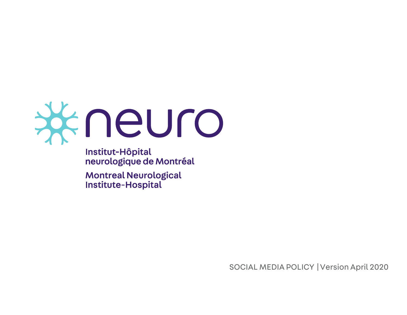

Institut-Hôpital neurologique de Montréal

**Montreal Neurological** Institute-Hospital

SOCIAL MEDIA POLICY |Version April 2020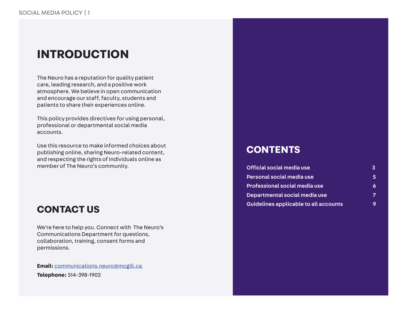### **INTRODUCTION**

The Neuro has a reputation for quality patient care, leading research, and a positive work atmosphere. We believe in open communication and encourage our staff, faculty, students and patients to share their experiences online.

This policy provides directives for using personal, professional or departmental social media accounts.

Use this resource to make informed choices about publishing online, sharing Neuro-related content, and respecting the rights of individuals online as member of The Neuro's community.

### **CONTACT US**

We're here to help you. Connect with The Neuro's Communications Department for questions, collaboration, training, consent forms and permissions.

**Email:** [communications.neuro@mcgill.ca](mailto:communications.neuro%40mcgill.ca%20?subject=Request%20%7C%20The%20Neuro%27s%20Social%20Media%20Policy)  **Telephone:** 514-398-1902

### **CONTENTS**

| Official social media use             | 3              |
|---------------------------------------|----------------|
| Personal social media use             | 5.             |
| Professional social media use         | 6              |
| Departmental social media use         | $\overline{ }$ |
| Guidelines applicable to all accounts |                |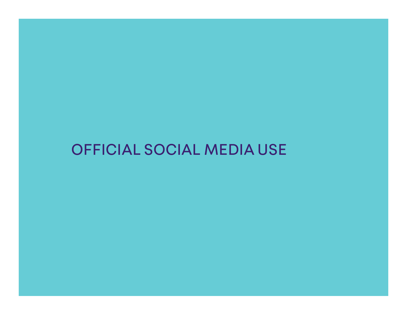## OFFICIAL SOCIAL MEDIA USE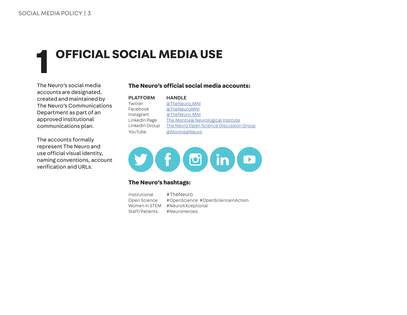## **1 OFFICIAL SOCIAL MEDIA USE**

The Neuro's social media accounts are designated, created and maintained by The Neuro's Communications Department as part of an approved institutional communications plan.

The accounts formally represent The Neuro and use official visual identity, naming conventions, account verification and URLs.

#### **The Neuro's official social media accounts:**

| <b>PLATFORM</b> | <b>HANDLE</b>                           |
|-----------------|-----------------------------------------|
| Twitter         | @TheNeuro MNI                           |
| Facebook        | @TheNeuroMNI                            |
| Instagram       | @TheNeuro MNI                           |
| LinkedIn Page   | The Montreal Neurological Institute     |
| LinkedIn Group  | The Neuro Open Science Discussion Group |
| YouTube         | @MontrealNeuro                          |



#### **The Neuro's hashtags:**

| Institutional  | #TheNeuro                         |
|----------------|-----------------------------------|
| Open Science   | #OpenScience #OpenScienceinAction |
| Women in STEM  | #NeuroXXceptional                 |
| Staff/Patients | #NeuroHeroes                      |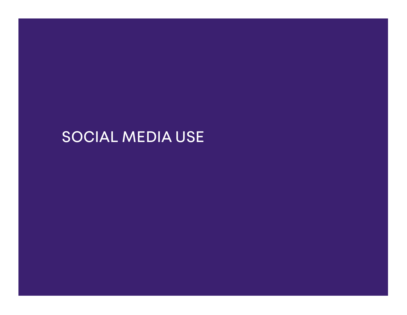## SOCIAL MEDIA USE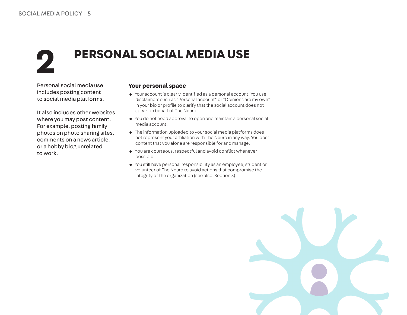## **2 PERSONAL SOCIAL MEDIA USE**

Personal social media use includes posting content to social media platforms.

It also includes other websites where you may post content. For example, posting family photos on photo sharing sites, comments on a news article, or a hobby blog unrelated to work.

#### **Your personal space**

- Your account is clearly identified as a personal account. You use disclaimers such as "Personal account" or "Opinions are my own" in your bio or profile to clarify that the social account does not speak on behalf of The Neuro.
- You do not need approval to open and maintain a personal social media account.
- The information uploaded to your social media platforms does not represent your affiliation with The Neuro in any way. You post content that you alone are responsible for and manage.
- • You are courteous,respectful and avoid conflict whenever possible.
- You still have personal responsibility as an employee, student or volunteer of The Neuro to avoid actions that compromise the integrity of the organization (see also, Section 5).

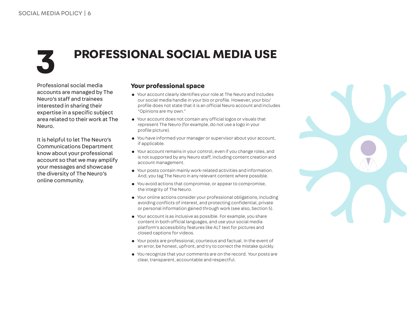## **3 PROFESSIONAL SOCIAL MEDIA USE**

Professional social media accounts are managed by The Neuro's staff and trainees interested in sharing their expertise in a specific subject area related to their work at The Neuro.

It is helpful to let The Neuro's Communications Department know about your professional account so that we may amplify your messages and showcase the diversity of The Neuro's online community.

#### **Your professional space**

- Your account clearly identifies your role at The Neuro and includes our social media handle in your bio or profile. However, your bio/ profile does not state thatitis an official Neuro account and includes "Opinions are my own."
- Your account does not contain any official logos or visuals that represent The Neuro (for example, do not use a logo in your profile picture).
- You have informed your manager or supervisor about your account, if applicable.
- Your account remains in your control, even if you change roles, and is not supported by any Neuro staff, including content creation and account management.
- Your posts contain mainly work-related activities and information. And, you tag The Neuro in any relevant content where possible.
- You avoid actions that compromise, or appear to compromise, the integrity of The Neuro.
- Your online actions consider your professional obligations, including avoiding conflicts of interest, and protecting confidential, private or personal information gained through work (see also, Section 5).
- Your account is as inclusive as possible. For example, you share contentin both official languages, and use your social media platform's accessibility features like ALT text for pictures and closed captions for videos.
- Your posts are professional, courteous and factual. In the event of an error, be honest, upfront, and try to correct the mistake quickly.
- You recognize that your comments are on the record. Your posts are clear, transparent, accountable and respectful.

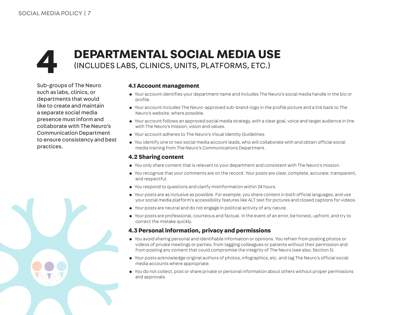### **4 DEPARTMENTAL SOCIAL MEDIA USE** (INCLUDES LABS, CLINICS, UNITS, PLATFORMS, ETC.)

Sub-groups of The Neuro such as labs, clinics, or departments that would like to create and maintain a separate social media presence must inform and collaborate with The Neuro's Communication Department to ensure consistency and best practices.

#### **4.1 Account management**

- Your account identifies your department name and includes The Neuro's social media handle in the bio or profile.
- Your account includes The Neuro-approved sub-brand-logo in the profile picture and a link back to The Neuro's website, where possible.
- Your account follows an approved social media strategy, with a clear goal, voice and target audience in line with The Neuro's mission, vision and values.
- Your account adheres to The Neuro's *Visual Identity Guidelines*.
- You identify one or two social media account leads, who will collaborate with and obtain official social media training from The Neuro's Communications Department.

#### **4.2 Sharing content**

- You only share content that is relevant to your department and consistent with The Neuro's mission.
- You recognize that your comments are on the record. Your posts are clear, complete, accurate, transparent, and respectful.
- You respond to questions and clarify misinformation within 24 hours.
- • Your posts are as inclusive as possible. For example, you share contentin both official languages, and use your social media platform's accessibility features like ALT text for pictures and closed captions for videos.
- Your posts are neutral and do not engage in political activity of any nature.
- • Your posts are professional, courteous and factual. In the event of an error, be honest, upfront, and try to correct the mistake quickly.

#### **4.3 Personal information, privacy and permissions**

- You avoid sharing personal and identifiable information or opinions. You refrain from posting photos or videos of private meetings or parties, from tagging colleagues or patients without their permission and from posting any content that could compromise the integrity of The Neuro (see also, Section 5).
- • Your posts acknowledge original authors of photos, infographics, etc. and tag The Neuro's official social media accounts where appropriate.
- You do not collect, post or share private or personal information about others without proper permissions and approvals.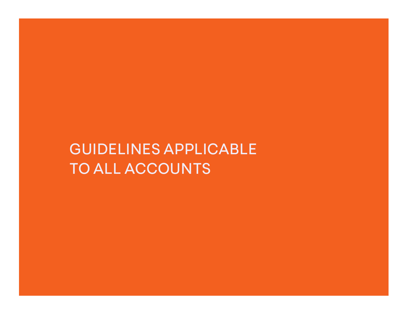## GUIDELINES APPLICABLE TO ALL ACCOUNTS